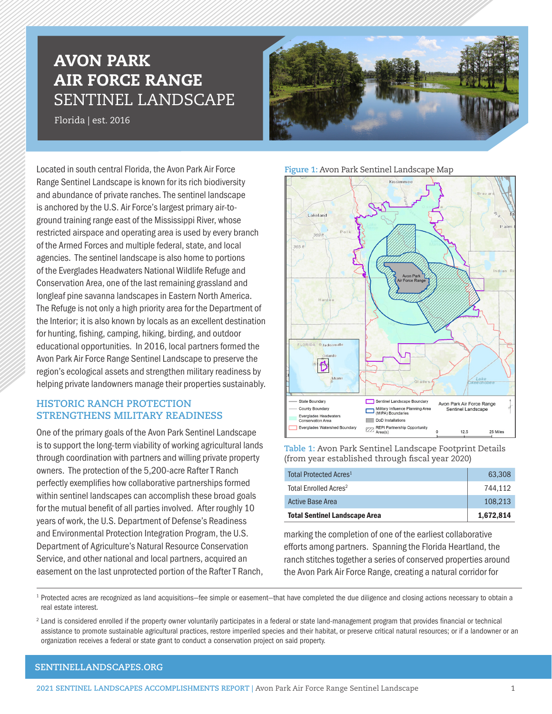# AVON PARK AIR FORCE RANGE SENTINEL LANDSCAPE

Florida | est. 2016



Located in south central Florida, the Avon Park Air Force Range Sentinel Landscape is known for its rich biodiversity and abundance of private ranches. The sentinel landscape is anchored by the U.S. Air Force's largest primary air-toground training range east of the Mississippi River, whose restricted airspace and operating area is used by every branch of the Armed Forces and multiple federal, state, and local agencies. The sentinel landscape is also home to portions of the Everglades Headwaters National Wildlife Refuge and Conservation Area, one of the last remaining grassland and longleaf pine savanna landscapes in Eastern North America. The Refuge is not only a high priority area for the Department of the Interior; it is also known by locals as an excellent destination for hunting, fishing, camping, hiking, birding, and outdoor educational opportunities. In 2016, local partners formed the Avon Park Air Force Range Sentinel Landscape to preserve the region's ecological assets and strengthen military readiness by helping private landowners manage their properties sustainably.

# **HISTORIC RANCH PROTECTION STRENGTHENS MILITARY READINESS**

One of the primary goals of the Avon Park Sentinel Landscape is to support the long-term viability of working agricultural lands through coordination with partners and willing private property owners. The protection of the 5,200-acre Rafter T Ranch perfectly exemplifies how collaborative partnerships formed within sentinel landscapes can accomplish these broad goals for the mutual benefit of all parties involved. After roughly 10 years of work, the U.S. Department of Defense's Readiness and Environmental Protection Integration Program, the U.S. Department of Agriculture's Natural Resource Conservation Service, and other national and local partners, acquired an easement on the last unprotected portion of the Rafter T Ranch,

#### **Figure 1:** Avon Park Sentinel Landscape Map



**Table 1:** Avon Park Sentinel Landscape Footprint Details (from year established through fiscal year 2020)

| Total Protected Acres <sup>1</sup>   | 63.308    |
|--------------------------------------|-----------|
| Total Enrolled Acres <sup>2</sup>    | 744.112   |
| Active Base Area                     | 108.213   |
| <b>Total Sentinel Landscape Area</b> | 1,672,814 |

marking the completion of one of the earliest collaborative efforts among partners. Spanning the Florida Heartland, the ranch stitches together a series of conserved properties around the Avon Park Air Force Range, creating a natural corridor for

<sup>1</sup> Protected acres are recognized as land acquisitions–fee simple or easement–that have completed the due diligence and closing actions necessary to obtain a real estate interest.

<sup>2</sup> Land is considered enrolled if the property owner voluntarily participates in a federal or state land-management program that provides financial or technical assistance to promote sustainable agricultural practices, restore imperiled species and their habitat, or preserve critical natural resources; or if a landowner or an organization receives a federal or state grant to conduct a conservation project on said property.

## **[SENTINELLANDSCAPES.ORG](https://sentinellandscapes.org)**